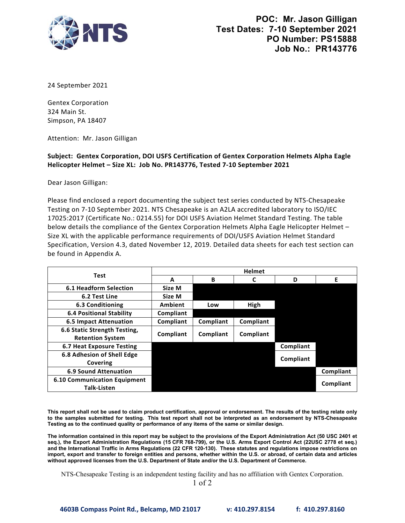

24 September 2021

Gentex Corporation 324 Main St. Simpson, PA 18407

Attention: Mr. Jason Gilligan

## **Helicopter Helmet – Size XL: Job No. PR143776, Tested 7‐10 September 2021 Subject: Gentex Corporation, DOI USFS Certification of Gentex Corporation Helmets Alpha Eagle**

Dear Jason Gilligan:

 Please find enclosed a report documenting the subject test series conducted by NTS‐Chesapeake Testing on 7‐10 September 2021. NTS Chesapeake is an A2LA accredited laboratory to ISO/IEC Specification, Version 4.3, dated November 12, 2019. Detailed data sheets for each test section can 17025:2017 (Certificate No.: 0214.55) for DOI USFS Aviation Helmet Standard Testing. The table below details the compliance of the Gentex Corporation Helmets Alpha Eagle Helicopter Helmet -Size XL with the applicable performance requirements of DOI/USFS Aviation Helmet Standard be found in Appendix A.

| Test                                | <b>Helmet</b>  |           |           |           |           |
|-------------------------------------|----------------|-----------|-----------|-----------|-----------|
|                                     | A              | B         |           | D         | Е         |
| <b>6.1 Headform Selection</b>       | Size M         |           |           |           |           |
| 6.2 Test Line                       | Size M         |           |           |           |           |
| 6.3 Conditioning                    | <b>Ambient</b> | Low       | High      |           |           |
| <b>6.4 Positional Stability</b>     | Compliant      |           |           |           |           |
| <b>6.5 Impact Attenuation</b>       | Compliant      | Compliant | Compliant |           |           |
| 6.6 Static Strength Testing,        | Compliant      | Compliant | Compliant |           |           |
| <b>Retention System</b>             |                |           |           |           |           |
| 6.7 Heat Exposure Testing           |                |           |           | Compliant |           |
| 6.8 Adhesion of Shell Edge          |                |           |           |           |           |
| Covering                            |                |           |           | Compliant |           |
| <b>6.9 Sound Attenuation</b>        |                |           |           |           | Compliant |
| <b>6.10 Communication Equipment</b> |                |           |           |           | Compliant |
| <b>Talk-Listen</b>                  |                |           |           |           |           |

 **This report shall not be used to claim product certification, approval or endorsement. The results of the testing relate only to the samples submitted for testing. This test report shall not be interpreted as an endorsement by NTS-Chesapeake Testing as to the continued quality or performance of any items of the same or similar design.**

 **The information contained in this report may be subject to the provisions of the Export Administration Act (50 USC 2401 et import, export and transfer to foreign entities and persons, whether within the U.S. or abroad, of certain data and articles seq.), the Export Administration Regulations (15 CFR 768-799), or the U.S. Arms Export Control Act (22USC 2778 et seq.) and the International Traffic in Arms Regulations (22 CFR 120-130). These statutes and regulations impose restrictions on without approved licenses from the U.S. Department of State and/or the U.S. Department of Commerce.**

NTS-Chesapeake Testing is an independent testing facility and has no affiliation with Gentex Corporation.

1 of 2